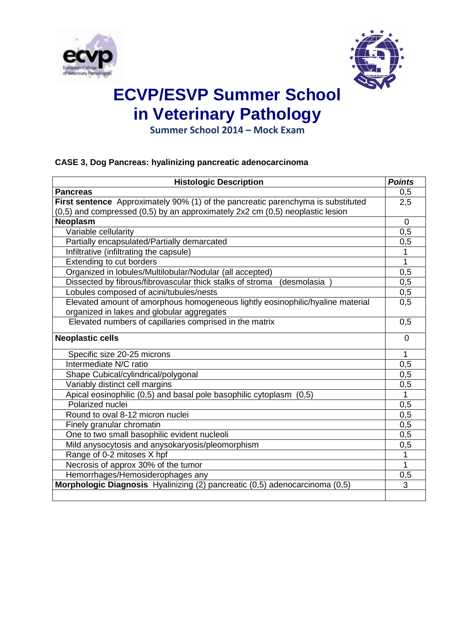



# **ECVP/ESVP Summer School in Veterinary Pathology**

**Summer School 2014 – Mock Exam**

### **CASE 3, Dog Pancreas: hyalinizing pancreatic adenocarcinoma**

| <b>Histologic Description</b>                                                    | <b>Points</b>    |
|----------------------------------------------------------------------------------|------------------|
| <b>Pancreas</b>                                                                  | 0,5              |
| First sentence Approximately 90% (1) of the pancreatic parenchyma is substituted | 2,5              |
| (0,5) and compressed (0,5) by an approximately 2x2 cm (0,5) neoplastic lesion    |                  |
| <b>Neoplasm</b>                                                                  | $\mathbf 0$      |
| Variable cellularity                                                             | 0,5              |
| Partially encapsulated/Partially demarcated                                      | 0,5              |
| Infiltrative (infiltrating the capsule)                                          |                  |
| Extending to cut borders                                                         | 1                |
| Organized in lobules/Multilobular/Nodular (all accepted)                         | 0,5              |
| Dissected by fibrous/fibrovascular thick stalks of stroma<br>(desmolasia         | 0,5              |
| Lobules composed of acini/tubules/nests                                          | 0,5              |
| Elevated amount of amorphous homogeneous lightly eosinophilic/hyaline material   | 0,5              |
| organized in lakes and globular aggregates                                       |                  |
| Elevated numbers of capillaries comprised in the matrix                          | 0,5              |
| <b>Neoplastic cells</b>                                                          | 0                |
| Specific size 20-25 microns                                                      | 1                |
| Intermediate N/C ratio                                                           | 0,5              |
| Shape Cubical/cylindrical/polygonal                                              | $\overline{0,5}$ |
| Variably distinct cell margins                                                   | 0,5              |
| Apical eosinophilic (0,5) and basal pole basophilic cytoplasm (0,5)              | 1                |
| Polarized nuclei                                                                 | 0,5              |
| Round to oval 8-12 micron nuclei                                                 | 0,5              |
| Finely granular chromatin                                                        | 0,5              |
| One to two small basophilic evident nucleoli                                     | 0,5              |
| Mild anysocytosis and anysokaryosis/pleomorphism                                 | 0,5              |
| Range of 0-2 mitoses X hpf                                                       | 1                |
| Necrosis of approx 30% of the tumor                                              | 1                |
| Hemorrhages/Hemosiderophages any                                                 | 0,5              |
| Morphologic Diagnosis Hyalinizing (2) pancreatic (0,5) adenocarcinoma (0,5)      | 3                |
|                                                                                  |                  |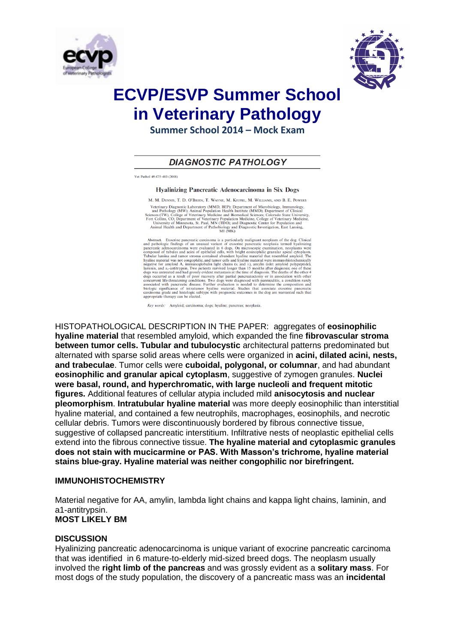



## **ECVP/ESVP Summer School in Veterinary Pathology**

**Summer School 2014 – Mock Exam**

### **DIAGNOSTIC PATHOLOGY**

Vet Pathol 45:475-483 (2008)

Hyalinizing Pancreatic Adenocarcinoma in Six Dogs

M. M. DENNIS, T. D. O'BRIEN, T. WAYNE, M. KIUPEL, M. WILLIAMS, AND B. E. POWERS

M. M. DENNIS, I. D. O BRIEN, I. WAYNE, M. KIUPEL, M. WILLIAMS, AND B. E. POWERS<br>
Veterinary Diagnostic Laboratory (MMD, BEP); Department of Microbiology, Immunology<br>
and Paulology (MW); Animal Population Health Institute (

 ${\bf Abstract.} \quad {\bf E} occrine \ \ \, {\bf B} occrine \ \ \, {\bf B} occrine \ \ \, {\bf B} occrine \ \ \, {\bf B} occrine \ \ \, {\bf B} occrine \ \ \, {\bf B} occrine \ \ \, {\bf B} occrine \ \, {\bf B} occrine \ \, {\bf B} occreme \ \, {\bf B} occariance \ \, {\bf B} variating \ \, {\bf B} occariance \ \, {\bf B} variational \ \, {\bf B} occsequence \ \, {\bf B} occsequence \ \, {\bf B} covariance \ \, {\bf B} covariance \ \, {\bf C} covariance \ \, {\bf C} covariance \ \$ Tubular lumina and tumor stroma contained abundant hyaline material that resembled amploid. The hyaline material was not componiblic, and tumor cells and hyaline material were immunohistochemically laminin, and  $\alpha_1$ -ant

Key words: Amyloid: carcinoma: dogs: hyaline: pancreas: neoplasia.

HISTOPATHOLOGICAL DESCRIPTION IN THE PAPER: aggregates of **eosinophilic hyaline material** that resembled amyloid, which expanded the fine **fibrovascular stroma between tumor cells. Tubular and tubulocystic** architectural patterns predominated but alternated with sparse solid areas where cells were organized in **acini, dilated acini, nests, and trabeculae**. Tumor cells were **cuboidal, polygonal, or columnar**, and had abundant **eosinophilic and granular apical cytoplasm**, suggestive of zymogen granules. **Nuclei were basal, round, and hyperchromatic, with large nucleoli and frequent mitotic figures.** Additional features of cellular atypia included mild **anisocytosis and nuclear pleomorphism**. **Intratubular hyaline material** was more deeply eosinophilic than interstitial hyaline material, and contained a few neutrophils, macrophages, eosinophils, and necrotic cellular debris. Tumors were discontinuously bordered by fibrous connective tissue, suggestive of collapsed pancreatic interstitium. Infiltrative nests of neoplastic epithelial cells extend into the fibrous connective tissue. **The hyaline material and cytoplasmic granules does not stain with mucicarmine or PAS. With Masson's trichrome, hyaline material stains blue-gray. Hyaline material was neither congophilic nor birefringent.**

#### **IMMUNOHISTOCHEMISTRY**

Material negative for AA, amylin, lambda light chains and kappa light chains, laminin, and a1-antitrypsin. **MOST LIKELY BM**

#### **DISCUSSION**

Hyalinizing pancreatic adenocarcinoma is unique variant of exocrine pancreatic carcinoma that was identified in 6 mature-to-elderly mid-sized breed dogs. The neoplasm usually involved the **right limb of the pancreas** and was grossly evident as a **solitary mass**. For most dogs of the study population, the discovery of a pancreatic mass was an **incidental**